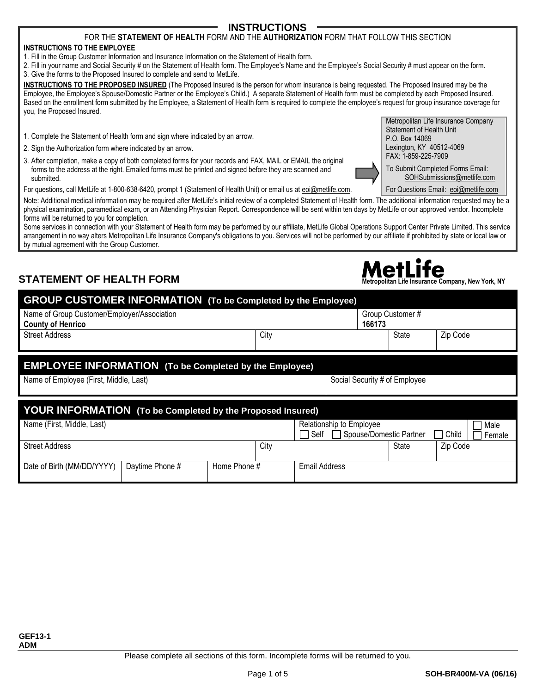Please complete all sections of this form. Incomplete forms will be returned to you.

### FOR THE **STATEMENT OF HEALTH** FORM AND THE **AUTHORIZATION** FORM THAT FOLLOW THIS SECTION

#### **INSTRUCTIONS TO THE EMPLOYEE**

1. Fill in the Group Customer Information and Insurance Information on the Statement of Health form.

2. Fill in your name and Social Security # on the Statement of Health form. The Employee's Name and the Employee's Social Security # must appear on the form. 3. Give the forms to the Proposed Insured to complete and send to MetLife.

**INSTRUCTIONS TO THE PROPOSED INSURED** (The Proposed Insured is the person for whom insurance is being requested. The Proposed Insured may be the Employee, the Employee's Spouse/Domestic Partner or the Employee's Child.) A separate Statement of Health form must be completed by each Proposed Insured. Based on the enrollment form submitted by the Employee, a Statement of Health form is required to complete the employee's request for group insurance coverage for you, the Proposed Insured.

- 1. Complete the Statement of Health form and sign where indicated by an arrow.
- 2. Sign the Authorization form where indicated by an arrow.
- 3. After completion, make a copy of both completed forms for your records and FAX, MAIL or EMAIL the original forms to the address at the right. Emailed forms must be printed and signed before they are scanned and submitted.

For questions, call MetLife at 1-800-638-6420, prompt 1 (Statement of Health Unit) or email us at [eoi@metlife.com.](mailto:eoi@metlife.com)

Note: Additional medical information may be required after MetLife's initial review of a completed Statement of Health form. The additional information requested may be a physical examination, paramedical exam, or an Attending Physician Report. Correspondence will be sent within ten days by MetLife or our approved vendor. Incomplete forms will be returned to you for completion.

Some services in connection with your Statement of Health form may be performed by our affiliate, MetLife Global Operations Support Center Private Limited. This service arrangement in no way alters Metropolitan Life Insurance Company's obligations to you. Services will not be performed by our affiliate if prohibited by state or local law or by mutual agreement with the Group Customer.

# **STATEMENT OF HEALTH FORM Metropolitan Life Insurance Company, New York, NY**

**GROUP CUSTOMER INFORMATION (To be Completed by the Employee)**

| <b>OROOF COOF OMER THE ORMATION</b> TO be completed by the Employee)    |      |                               |                  |          |
|-------------------------------------------------------------------------|------|-------------------------------|------------------|----------|
| Name of Group Customer/Employer/Association<br><b>County of Henrico</b> |      | 166173                        | Group Customer # |          |
| <b>Street Address</b>                                                   | City |                               | State            | Zip Code |
|                                                                         |      |                               |                  |          |
| <b>EMPLOYEE INFORMATION</b> (To be Completed by the Employee)           |      |                               |                  |          |
| Name of Employee (First, Middle, Last)                                  |      | Social Security # of Employee |                  |          |
|                                                                         |      |                               |                  |          |
| <b>YOUR INFORMATION</b> (To be Completed by the Proposed Insured)       |      |                               |                  |          |
| Name (First, Middle, Last)                                              |      | Relationship to Employee      |                  | Male     |

| Name (First, Middle, Last) |                 |              |      | Relationship to Employee<br>Self<br>Spouse/Domestic Partner |       | Child    | Male<br>Female |
|----------------------------|-----------------|--------------|------|-------------------------------------------------------------|-------|----------|----------------|
| <b>Street Address</b>      |                 |              | City |                                                             | State | Zip Code |                |
|                            |                 |              |      |                                                             |       |          |                |
| Date of Birth (MM/DD/YYYY) | Davtime Phone # | Home Phone # |      | <b>Email Address</b>                                        |       |          |                |



Metropolitan Life Insurance Company



[SOHSubmissions@metlife.com](mailto:SOHSubmissions@MetLife.com)

For Questions Email: [eoi@metlife.com](mailto:eoi@metlife.com)

**INSTRUCTIONS**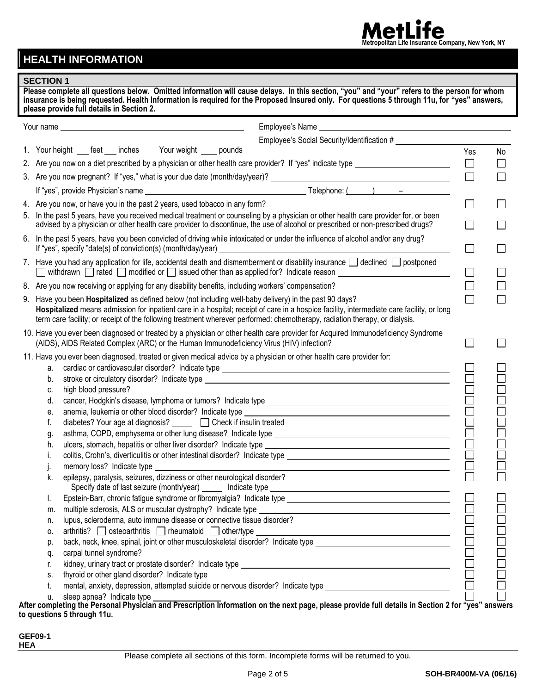# **HEALTH INFORMATION**

### **SECTION 1**

| JEUTIUN I | Please complete all questions below. Omitted information will cause delays. In this section, "you" and "your" refers to the person for whom<br>insurance is being requested. Health Information is required for the Proposed Insured only. For questions 5 through 11u, for "yes" answers,<br>please provide full details in Section 2.                                            |        |    |
|-----------|------------------------------------------------------------------------------------------------------------------------------------------------------------------------------------------------------------------------------------------------------------------------------------------------------------------------------------------------------------------------------------|--------|----|
|           |                                                                                                                                                                                                                                                                                                                                                                                    |        |    |
|           |                                                                                                                                                                                                                                                                                                                                                                                    |        |    |
|           | 1. Your height ___ feet ___ inches Your weight ____ pounds                                                                                                                                                                                                                                                                                                                         | Yes    | No |
|           | 2. Are you now on a diet prescribed by a physician or other health care provider? If "yes" indicate type ______________________________                                                                                                                                                                                                                                            | $\Box$ |    |
|           |                                                                                                                                                                                                                                                                                                                                                                                    | $\Box$ |    |
|           |                                                                                                                                                                                                                                                                                                                                                                                    |        |    |
|           | 4. Are you now, or have you in the past 2 years, used tobacco in any form?                                                                                                                                                                                                                                                                                                         | $\Box$ |    |
|           | 5. In the past 5 years, have you received medical treatment or counseling by a physician or other health care provider for, or been<br>advised by a physician or other health care provider to discontinue, the use of alcohol or prescribed or non-prescribed drugs?                                                                                                              |        |    |
|           | 6. In the past 5 years, have you been convicted of driving while intoxicated or under the influence of alcohol and/or any drug?<br>If "yes", specify "date(s) of conviction(s) (month/day/year)<br><u> 1989 - Johann John Stone, Amerikaansk politiker († 1908)</u>                                                                                                                |        |    |
|           | 7. Have you had any application for life, accidental death and dismemberment or disability insurance $\Box$ declined $\Box$ postponed<br>withdrawn $\Box$ rated $\Box$ modified or $\Box$ issued other than as applied for? Indicate reason $\Box$                                                                                                                                 | $\Box$ |    |
|           | 8. Are you now receiving or applying for any disability benefits, including workers' compensation?                                                                                                                                                                                                                                                                                 |        |    |
|           | 9. Have you been Hospitalized as defined below (not including well-baby delivery) in the past 90 days?<br>Hospitalized means admission for inpatient care in a hospital; receipt of care in a hospice facility, intermediate care facility, or long<br>term care facility; or receipt of the following treatment wherever performed: chemotherapy, radiation therapy, or dialysis. |        |    |
|           | 10. Have you ever been diagnosed or treated by a physician or other health care provider for Acquired Immunodeficiency Syndrome<br>(AIDS), AIDS Related Complex (ARC) or the Human Immunodeficiency Virus (HIV) infection?                                                                                                                                                         |        |    |
|           | 11. Have you ever been diagnosed, treated or given medical advice by a physician or other health care provider for:                                                                                                                                                                                                                                                                |        |    |
| a.        |                                                                                                                                                                                                                                                                                                                                                                                    |        |    |
| b.        |                                                                                                                                                                                                                                                                                                                                                                                    |        |    |
| C.        | high blood pressure?                                                                                                                                                                                                                                                                                                                                                               |        |    |
| d.        |                                                                                                                                                                                                                                                                                                                                                                                    |        |    |
| е.        |                                                                                                                                                                                                                                                                                                                                                                                    |        |    |
| f.        | diabetes? Your age at diagnosis? _____ □ Check if insulin treated                                                                                                                                                                                                                                                                                                                  |        |    |
| g.        |                                                                                                                                                                                                                                                                                                                                                                                    |        |    |
| h.        |                                                                                                                                                                                                                                                                                                                                                                                    |        |    |
|           |                                                                                                                                                                                                                                                                                                                                                                                    |        |    |
| K.        | epilepsy, paralysis, seizures, dizziness or other neurological disorder?                                                                                                                                                                                                                                                                                                           |        |    |
|           |                                                                                                                                                                                                                                                                                                                                                                                    |        |    |
| L.        |                                                                                                                                                                                                                                                                                                                                                                                    |        |    |
| m.        | lupus, scleroderma, auto immune disease or connective tissue disorder?                                                                                                                                                                                                                                                                                                             |        |    |
| n.        |                                                                                                                                                                                                                                                                                                                                                                                    |        |    |
| 0.        |                                                                                                                                                                                                                                                                                                                                                                                    |        |    |
| p.        | back, neck, knee, spinal, joint or other musculoskeletal disorder? Indicate type _____________________________                                                                                                                                                                                                                                                                     |        |    |
| q.        | carpal tunnel syndrome?                                                                                                                                                                                                                                                                                                                                                            |        |    |
| r.        |                                                                                                                                                                                                                                                                                                                                                                                    |        |    |
| S.        |                                                                                                                                                                                                                                                                                                                                                                                    |        |    |
| t.        | mental, anxiety, depression, attempted suicide or nervous disorder? Indicate type ____________________________                                                                                                                                                                                                                                                                     |        |    |
| u.        |                                                                                                                                                                                                                                                                                                                                                                                    |        |    |

**After completing the Personal Physician and Prescription Information on the next page, please provide full details in Section 2 for "yes" answers to questions 5 through 11u.**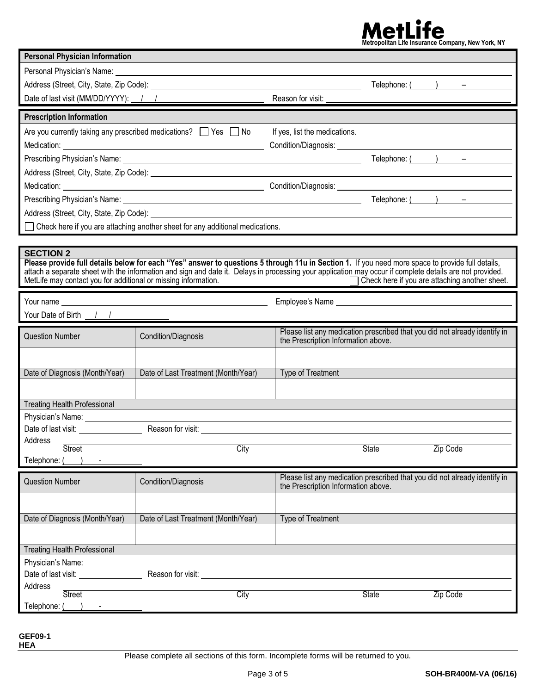# Met**ropolitan Life Insurance Company**, New York, NY

| <b>Personal Physician Information</b>                                              |                                                                                                                                                                                                                                                                                                              |                                                                                                                   |              |                                                                                                                                                                                                                                                                                                                                          |
|------------------------------------------------------------------------------------|--------------------------------------------------------------------------------------------------------------------------------------------------------------------------------------------------------------------------------------------------------------------------------------------------------------|-------------------------------------------------------------------------------------------------------------------|--------------|------------------------------------------------------------------------------------------------------------------------------------------------------------------------------------------------------------------------------------------------------------------------------------------------------------------------------------------|
|                                                                                    |                                                                                                                                                                                                                                                                                                              |                                                                                                                   |              |                                                                                                                                                                                                                                                                                                                                          |
|                                                                                    |                                                                                                                                                                                                                                                                                                              |                                                                                                                   |              | Telephone: $($ $)$ $-$                                                                                                                                                                                                                                                                                                                   |
| Date of last visit (MM/DD/YYYY): 1 /                                               |                                                                                                                                                                                                                                                                                                              | Reason for visit:                                                                                                 |              |                                                                                                                                                                                                                                                                                                                                          |
| <b>Prescription Information</b>                                                    |                                                                                                                                                                                                                                                                                                              |                                                                                                                   |              |                                                                                                                                                                                                                                                                                                                                          |
|                                                                                    | Are you currently taking any prescribed medications? $\Box$ Yes $\Box$ No                                                                                                                                                                                                                                    | If yes, list the medications.                                                                                     |              |                                                                                                                                                                                                                                                                                                                                          |
|                                                                                    |                                                                                                                                                                                                                                                                                                              |                                                                                                                   |              |                                                                                                                                                                                                                                                                                                                                          |
|                                                                                    |                                                                                                                                                                                                                                                                                                              |                                                                                                                   |              | Telephone: $\qquad \qquad$ $\qquad$ $\qquad$ $\qquad$ $\qquad$ $\qquad$ $\qquad$ $\qquad$ $\qquad$ $\qquad$ $\qquad$ $\qquad$ $\qquad$ $\qquad$ $\qquad$ $\qquad$ $\qquad$ $\qquad$ $\qquad$ $\qquad$ $\qquad$ $\qquad$ $\qquad$ $\qquad$ $\qquad$ $\qquad$ $\qquad$ $\qquad$ $\qquad$ $\qquad$ $\qquad$ $\qquad$ $\qquad$ $\qquad$ $\q$ |
|                                                                                    |                                                                                                                                                                                                                                                                                                              |                                                                                                                   |              |                                                                                                                                                                                                                                                                                                                                          |
|                                                                                    |                                                                                                                                                                                                                                                                                                              |                                                                                                                   |              |                                                                                                                                                                                                                                                                                                                                          |
| Prescribing Physician's Name:                                                      |                                                                                                                                                                                                                                                                                                              |                                                                                                                   |              | Telephone: $($ $)$ $-$                                                                                                                                                                                                                                                                                                                   |
|                                                                                    |                                                                                                                                                                                                                                                                                                              |                                                                                                                   |              |                                                                                                                                                                                                                                                                                                                                          |
|                                                                                    | Check here if you are attaching another sheet for any additional medications.                                                                                                                                                                                                                                |                                                                                                                   |              |                                                                                                                                                                                                                                                                                                                                          |
|                                                                                    |                                                                                                                                                                                                                                                                                                              |                                                                                                                   |              |                                                                                                                                                                                                                                                                                                                                          |
| <b>SECTION 2</b><br>MetLife may contact you for additional or missing information. | Please provide full details-below for each "Yes" answer to questions 5 through 11u in Section 1. If you need more space to provide full details,<br>attach a separate sheet with the information and sign and date it. Delays in processing your application may occur if complete details are not provided. |                                                                                                                   |              | Check here if you are attaching another sheet.                                                                                                                                                                                                                                                                                           |
|                                                                                    |                                                                                                                                                                                                                                                                                                              |                                                                                                                   |              |                                                                                                                                                                                                                                                                                                                                          |
| Your Date of Birth $\frac{1}{1}$                                                   |                                                                                                                                                                                                                                                                                                              |                                                                                                                   |              |                                                                                                                                                                                                                                                                                                                                          |
|                                                                                    |                                                                                                                                                                                                                                                                                                              | Please list any medication prescribed that you did not already identify in                                        |              |                                                                                                                                                                                                                                                                                                                                          |
| <b>Question Number</b>                                                             | Condition/Diagnosis                                                                                                                                                                                                                                                                                          | the Prescription Information above.                                                                               |              |                                                                                                                                                                                                                                                                                                                                          |
|                                                                                    |                                                                                                                                                                                                                                                                                                              |                                                                                                                   |              |                                                                                                                                                                                                                                                                                                                                          |
| Date of Diagnosis (Month/Year)                                                     | Date of Last Treatment (Month/Year)                                                                                                                                                                                                                                                                          | Type of Treatment                                                                                                 |              |                                                                                                                                                                                                                                                                                                                                          |
|                                                                                    |                                                                                                                                                                                                                                                                                                              |                                                                                                                   |              |                                                                                                                                                                                                                                                                                                                                          |
| <b>Treating Health Professional</b>                                                |                                                                                                                                                                                                                                                                                                              |                                                                                                                   |              |                                                                                                                                                                                                                                                                                                                                          |
| Physician's Name:                                                                  |                                                                                                                                                                                                                                                                                                              |                                                                                                                   |              |                                                                                                                                                                                                                                                                                                                                          |
|                                                                                    | Date of last visit: Notice that Reason for visit:                                                                                                                                                                                                                                                            |                                                                                                                   |              |                                                                                                                                                                                                                                                                                                                                          |
| Address                                                                            |                                                                                                                                                                                                                                                                                                              |                                                                                                                   |              |                                                                                                                                                                                                                                                                                                                                          |
| <b>Street</b><br>Telephone: (                                                      | City                                                                                                                                                                                                                                                                                                         |                                                                                                                   | <b>State</b> | Zip Code                                                                                                                                                                                                                                                                                                                                 |
|                                                                                    |                                                                                                                                                                                                                                                                                                              |                                                                                                                   |              |                                                                                                                                                                                                                                                                                                                                          |
| <b>Question Number</b>                                                             | Condition/Diagnosis                                                                                                                                                                                                                                                                                          | Please list any medication prescribed that you did not already identify in<br>the Prescription Information above. |              |                                                                                                                                                                                                                                                                                                                                          |
|                                                                                    |                                                                                                                                                                                                                                                                                                              |                                                                                                                   |              |                                                                                                                                                                                                                                                                                                                                          |
|                                                                                    | Date of Last Treatment (Month/Year)                                                                                                                                                                                                                                                                          |                                                                                                                   |              |                                                                                                                                                                                                                                                                                                                                          |
| Date of Diagnosis (Month/Year)                                                     |                                                                                                                                                                                                                                                                                                              | Type of Treatment                                                                                                 |              |                                                                                                                                                                                                                                                                                                                                          |
|                                                                                    |                                                                                                                                                                                                                                                                                                              |                                                                                                                   |              |                                                                                                                                                                                                                                                                                                                                          |
| <b>Treating Health Professional</b>                                                |                                                                                                                                                                                                                                                                                                              |                                                                                                                   |              |                                                                                                                                                                                                                                                                                                                                          |
| Physician's Name: _____                                                            |                                                                                                                                                                                                                                                                                                              |                                                                                                                   |              |                                                                                                                                                                                                                                                                                                                                          |
| Date of last visit: <u>contained</u><br>Address                                    | Reason for visit: Note that the state of the state of the state of the state of the state of the state of the state of the state of the state of the state of the state of the state of the state of the state of the state of                                                                               |                                                                                                                   |              |                                                                                                                                                                                                                                                                                                                                          |
| <b>Street</b>                                                                      | City                                                                                                                                                                                                                                                                                                         |                                                                                                                   | <b>State</b> | Zip Code                                                                                                                                                                                                                                                                                                                                 |
| Telephone: (                                                                       |                                                                                                                                                                                                                                                                                                              |                                                                                                                   |              |                                                                                                                                                                                                                                                                                                                                          |

**GEF09-1 HEA**

Please complete all sections of this form. Incomplete forms will be returned to you.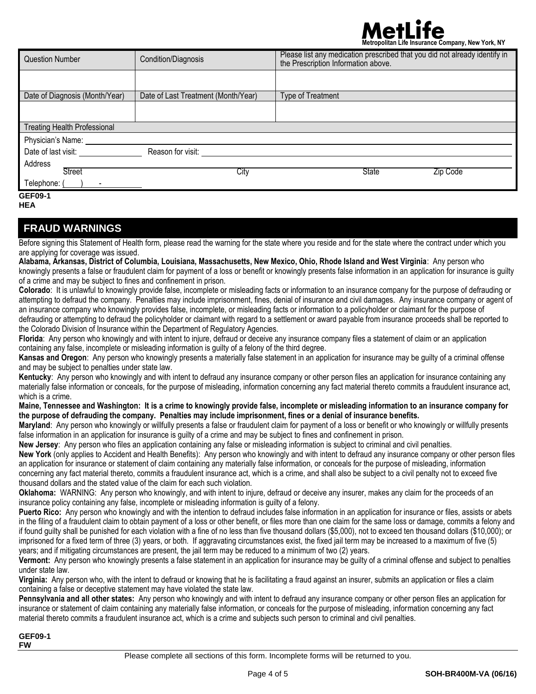# **Metropolitan Life Insurance Company, New York, NY**

| <b>Question Number</b>              | Condition/Diagnosis                 | Please list any medication prescribed that you did not already identify in<br>the Prescription Information above. |
|-------------------------------------|-------------------------------------|-------------------------------------------------------------------------------------------------------------------|
|                                     |                                     |                                                                                                                   |
| Date of Diagnosis (Month/Year)      | Date of Last Treatment (Month/Year) | Type of Treatment                                                                                                 |
|                                     |                                     |                                                                                                                   |
| <b>Treating Health Professional</b> |                                     |                                                                                                                   |
| Physician's Name:                   |                                     |                                                                                                                   |
| Date of last visit:                 | Reason for visit:                   |                                                                                                                   |
| Address<br><b>Street</b>            | City                                | <b>State</b><br>Zip Code                                                                                          |
| Telephone: (                        |                                     |                                                                                                                   |
| <b>GEF09-1</b>                      |                                     |                                                                                                                   |

#### **HEA**

### **FRAUD WARNINGS**

Before signing this Statement of Health form, please read the warning for the state where you reside and for the state where the contract under which you are applying for coverage was issued.

**Alabama, Arkansas, District of Columbia, Louisiana, Massachusetts, New Mexico, Ohio, Rhode Island and West Virginia**: Any person who knowingly presents a false or fraudulent claim for payment of a loss or benefit or knowingly presents false information in an application for insurance is guilty of a crime and may be subject to fines and confinement in prison.

**Colorado**: It is unlawful to knowingly provide false, incomplete or misleading facts or information to an insurance company for the purpose of defrauding or attempting to defraud the company. Penalties may include imprisonment, fines, denial of insurance and civil damages. Any insurance company or agent of an insurance company who knowingly provides false, incomplete, or misleading facts or information to a policyholder or claimant for the purpose of defrauding or attempting to defraud the policyholder or claimant with regard to a settlement or award payable from insurance proceeds shall be reported to the Colorado Division of Insurance within the Department of Regulatory Agencies.

**Florida**: Any person who knowingly and with intent to injure, defraud or deceive any insurance company files a statement of claim or an application containing any false, incomplete or misleading information is guilty of a felony of the third degree.

**Kansas and Oregon**: Any person who knowingly presents a materially false statement in an application for insurance may be guilty of a criminal offense and may be subject to penalties under state law.

**Kentucky**: Any person who knowingly and with intent to defraud any insurance company or other person files an application for insurance containing any materially false information or conceals, for the purpose of misleading, information concerning any fact material thereto commits a fraudulent insurance act, which is a crime.

**Maine, Tennessee and Washington: It is a crime to knowingly provide false, incomplete or misleading information to an insurance company for the purpose of defrauding the company. Penalties may include imprisonment, fines or a denial of insurance benefits.**

**Maryland**: Any person who knowingly or willfully presents a false or fraudulent claim for payment of a loss or benefit or who knowingly or willfully presents false information in an application for insurance is quilty of a crime and may be subject to fines and confinement in prison.

**New Jersey**: Any person who files an application containing any false or misleading information is subject to criminal and civil penalties.

**New York** (only applies to Accident and Health Benefits): Any person who knowingly and with intent to defraud any insurance company or other person files an application for insurance or statement of claim containing any materially false information, or conceals for the purpose of misleading, information concerning any fact material thereto, commits a fraudulent insurance act, which is a crime, and shall also be subject to a civil penalty not to exceed five thousand dollars and the stated value of the claim for each such violation.

**Oklahoma:** WARNING: Any person who knowingly, and with intent to injure, defraud or deceive any insurer, makes any claim for the proceeds of an insurance policy containing any false, incomplete or misleading information is guilty of a felony.

**Puerto Rico:** Any person who knowingly and with the intention to defraud includes false information in an application for insurance or files, assists or abets in the filing of a fraudulent claim to obtain payment of a loss or other benefit, or files more than one claim for the same loss or damage, commits a felony and if found guilty shall be punished for each violation with a fine of no less than five thousand dollars (\$5,000), not to exceed ten thousand dollars (\$10,000); or imprisoned for a fixed term of three (3) years, or both. If aggravating circumstances exist, the fixed jail term may be increased to a maximum of five (5) years; and if mitigating circumstances are present, the jail term may be reduced to a minimum of two (2) years.

**Vermont:** Any person who knowingly presents a false statement in an application for insurance may be guilty of a criminal offense and subject to penalties under state law.

**Virginia:** Any person who, with the intent to defraud or knowing that he is facilitating a fraud against an insurer, submits an application or files a claim containing a false or deceptive statement may have violated the state law.

**Pennsylvania and all other states:** Any person who knowingly and with intent to defraud any insurance company or other person files an application for insurance or statement of claim containing any materially false information, or conceals for the purpose of misleading, information concerning any fact material thereto commits a fraudulent insurance act, which is a crime and subjects such person to criminal and civil penalties.

**GEF09-1 FW**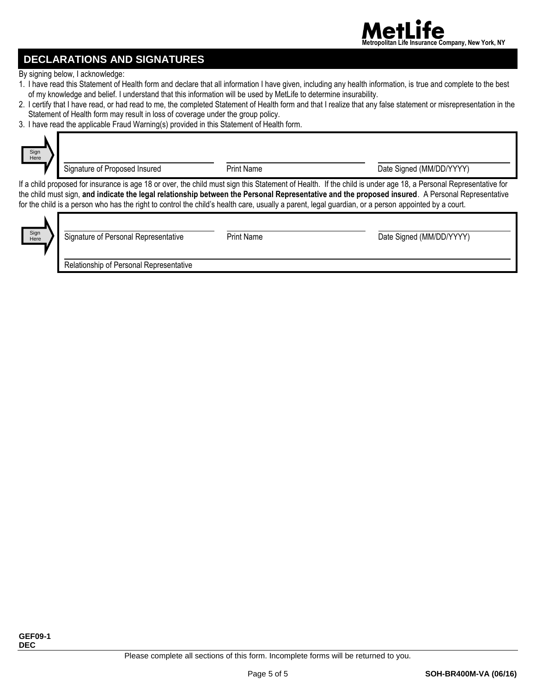

## **DECLARATIONS AND SIGNATURES**

By signing below, I acknowledge:

- 1. I have read this Statement of Health form and declare that all information I have given, including any health information, is true and complete to the best of my knowledge and belief. I understand that this information will be used by MetLife to determine insurability.
- 2. I certify that I have read, or had read to me, the completed Statement of Health form and that I realize that any false statement or misrepresentation in the Statement of Health form may result in loss of coverage under the group policy.
- 3. I have read the applicable Fraud Warning(s) provided in this Statement of Health form.



Signature of Proposed Insured **Print Name** Print Name Date Signed (MM/DD/YYYY)

If a child proposed for insurance is age 18 or over, the child must sign this Statement of Health. If the child is under age 18, a Personal Representative for the child must sign, **and indicate the legal relationship between the Personal Representative and the proposed insured**. A Personal Representative for the child is a person who has the right to control the child's health care, usually a parent, legal guardian, or a person appointed by a court.



Signature of Personal Representative **Print Name** Print Name Date Signed (MM/DD/YYYY)

Relationship of Personal Representative